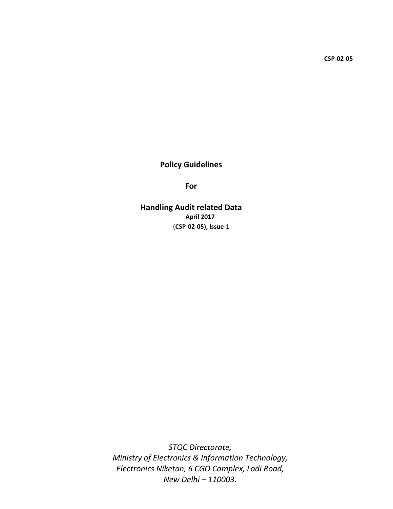CSP-02-05

# Policy Guidelines

For

Handling Audit related Data April 2017 (CSP-02-05), Issue-1

*STQC Directorate, Ministry of Electronics & Information Technology, Electronics Niketan, 6 CGO Complex, Lodi Road, New Delhi – 110003.*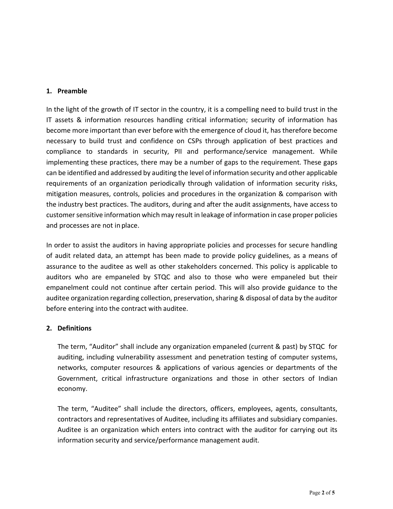### 1. Preamble

In the light of the growth of IT sector in the country, it is a compelling need to build trust in the IT assets & information resources handling critical information; security of information has become more important than ever before with the emergence of cloud it, has therefore become necessary to build trust and confidence on CSPs through application of best practices and compliance to standards in security, PII and performance/service management. While implementing these practices, there may be a number of gaps to the requirement. These gaps can be identified and addressed by auditing the level of information security and other applicable requirements of an organization periodically through validation of information security risks, mitigation measures, controls, policies and procedures in the organization & comparison with the industry best practices. The auditors, during and after the audit assignments, have access to customer sensitive information which may result in leakage of information in case proper policies and processes are not in place.

In order to assist the auditors in having appropriate policies and processes for secure handling of audit related data, an attempt has been made to provide policy guidelines, as a means of assurance to the auditee as well as other stakeholders concerned. This policy is applicable to auditors who are empaneled by STQC and also to those who were empaneled but their empanelment could not continue after certain period. This will also provide guidance to the auditee organization regarding collection, preservation, sharing & disposal of data by the auditor before entering into the contract with auditee.

# 2. Definitions

The term, "Auditor" shall include any organization empaneled (current & past) by STQC for auditing, including vulnerability assessment and penetration testing of computer systems, networks, computer resources & applications of various agencies or departments of the Government, critical infrastructure organizations and those in other sectors of Indian economy.

The term, "Auditee" shall include the directors, officers, employees, agents, consultants, contractors and representatives of Auditee, including its affiliates and subsidiary companies. Auditee is an organization which enters into contract with the auditor for carrying out its information security and service/performance management audit.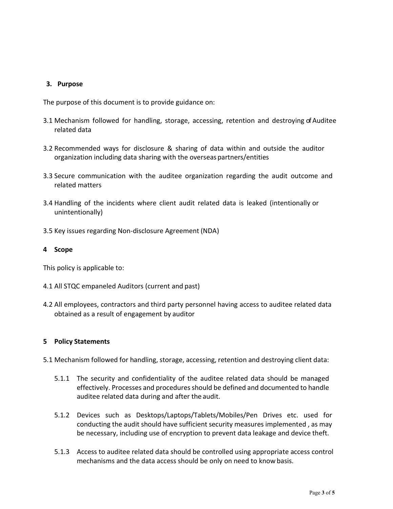# 3. Purpose

The purpose of this document is to provide guidance on:

- 3.1 Mechanism followed for handling, storage, accessing, retention and destroying of Auditee related data
- 3.2 Recommended ways for disclosure & sharing of data within and outside the auditor organization including data sharing with the overseas partners/entities
- 3.3 Secure communication with the auditee organization regarding the audit outcome and related matters
- 3.4 Handling of the incidents where client audit related data is leaked (intentionally or unintentionally)
- 3.5 Key issues regarding Non-disclosure Agreement (NDA)

### 4 Scope

This policy is applicable to:

- 4.1 All STQC empaneled Auditors (current and past)
- 4.2 All employees, contractors and third party personnel having access to auditee related data obtained as a result of engagement by auditor

#### 5 Policy Statements

- 5.1 Mechanism followed for handling, storage, accessing, retention and destroying client data:
	- 5.1.1 The security and confidentiality of the auditee related data should be managed effectively. Processes and procedures should be defined and documented to handle auditee related data during and after the audit.
	- 5.1.2 Devices such as Desktops/Laptops/Tablets/Mobiles/Pen Drives etc. used for conducting the audit should have sufficient security measures implemented , as may be necessary, including use of encryption to prevent data leakage and device theft.
	- 5.1.3 Access to auditee related data should be controlled using appropriate access control mechanisms and the data access should be only on need to know basis.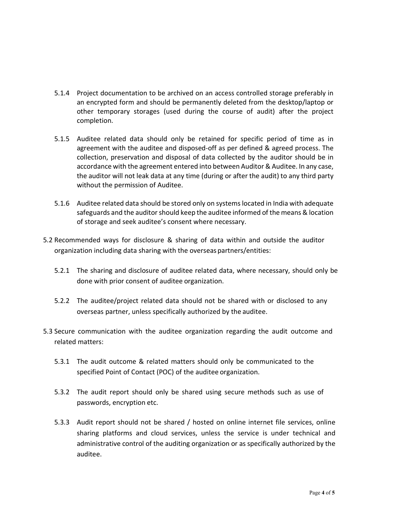- 5.1.4 Project documentation to be archived on an access controlled storage preferably in an encrypted form and should be permanently deleted from the desktop/laptop or other temporary storages (used during the course of audit) after the project completion.
- 5.1.5 Auditee related data should only be retained for specific period of time as in agreement with the auditee and disposed-off as per defined & agreed process. The collection, preservation and disposal of data collected by the auditor should be in accordance with the agreement entered into between Auditor & Auditee. In any case, the auditor will not leak data at any time (during or after the audit) to any third party without the permission of Auditee.
- 5.1.6 Auditee related data should be stored only on systems located in India with adequate safeguards and the auditor should keep the auditee informed of the means & location of storage and seek auditee's consent where necessary.
- 5.2 Recommended ways for disclosure & sharing of data within and outside the auditor organization including data sharing with the overseas partners/entities:
	- 5.2.1 The sharing and disclosure of auditee related data, where necessary, should only be done with prior consent of auditee organization.
	- 5.2.2 The auditee/project related data should not be shared with or disclosed to any overseas partner, unless specifically authorized by the auditee.
- 5.3 Secure communication with the auditee organization regarding the audit outcome and related matters:
	- 5.3.1 The audit outcome & related matters should only be communicated to the specified Point of Contact (POC) of the auditee organization.
	- 5.3.2 The audit report should only be shared using secure methods such as use of passwords, encryption etc.
	- 5.3.3 Audit report should not be shared / hosted on online internet file services, online sharing platforms and cloud services, unless the service is under technical and administrative control of the auditing organization or as specifically authorized by the auditee.